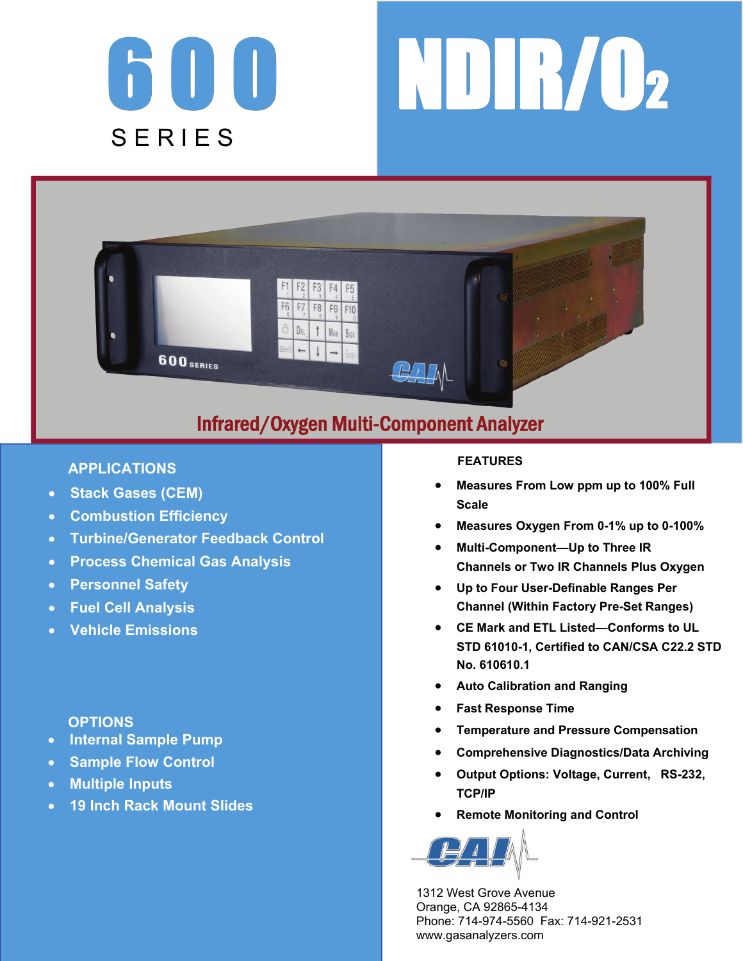





# Infrared/Oxygen Multi-Component Analyzer

## **APPLICATIONS**

- **Stack Gases (CEM)**
- **Combustion Efficiency**
- **Turbine/Generator Feedback Control**
- **Process Chemical Gas Analysis**
- **Personnel Safety**
- **Fuel Cell Analysis**
- **Vehicle Emissions**

## **OPTIONS**

- **Internal Sample Pump**
- **Sample Flow Control**
- **Multiple Inputs**
- **19 Inch Rack Mount Slides**

### **FEATURES**

- **Measures From Low ppm up to 100% Full Scale**
- **Measures Oxygen From 0-1% up to 0-100%**
- **Multi-Component—Up to Three IR Channels or Two IR Channels Plus Oxygen**
- **Up to Four User-Definable Ranges Per Channel (Within Factory Pre-Set Ranges)**
- **CE Mark and ETL Listed—Conforms to UL STD 61010-1, Certified to CAN/CSA C22.2 STD No. 610610.1**
- **Auto Calibration and Ranging**
- **Fast Response Time**
- **Temperature and Pressure Compensation**
- **Comprehensive Diagnostics/Data Archiving**
- **Output Options: Voltage, Current, RS-232, TCP/IP**
- **Remote Monitoring and Control**



 1312 West Grove Avenue Orange, CA 92865-4134 Phone: 714-974-5560 Fax: 714-921-2531 www.gasanalyzers.com